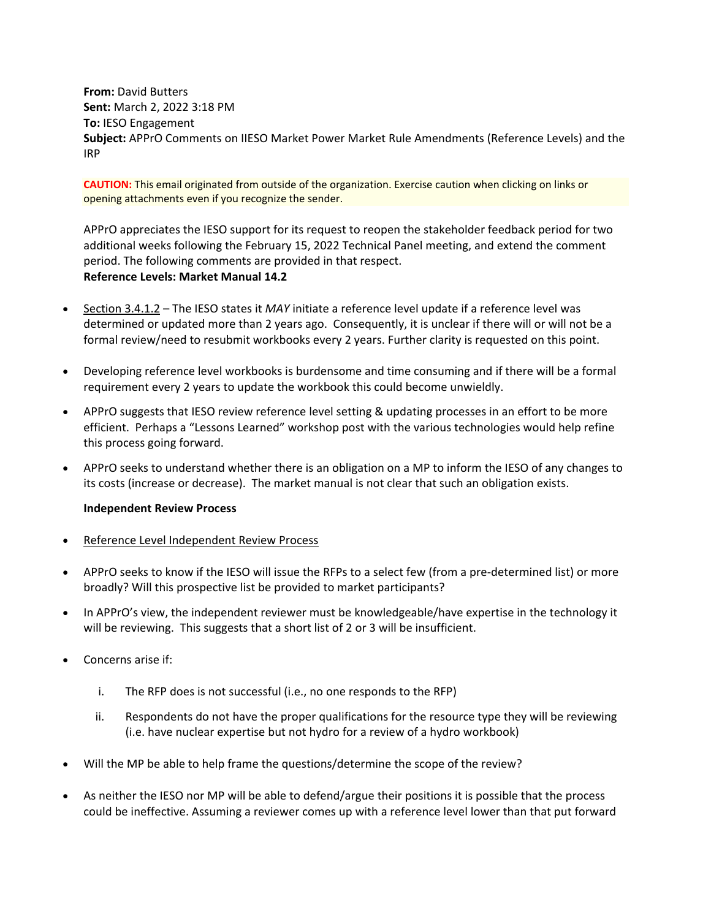**From:** David Butters **Sent:** March 2, 2022 3:18 PM **To:** IESO Engagement **Subject:** APPrO Comments on IIESO Market Power Market Rule Amendments (Reference Levels) and the IRP

**CAUTION:** This email originated from outside of the organization. Exercise caution when clicking on links or opening attachments even if you recognize the sender.

APPrO appreciates the IESO support for its request to reopen the stakeholder feedback period for two additional weeks following the February 15, 2022 Technical Panel meeting, and extend the comment period. The following comments are provided in that respect. **Reference Levels: Market Manual 14.2**

- Section 3.4.1.2 The IESO states it *MAY* initiate a reference level update if a reference level was determined or updated more than 2 years ago. Consequently, it is unclear if there will or will not be a formal review/need to resubmit workbooks every 2 years. Further clarity is requested on this point.
- Developing reference level workbooks is burdensome and time consuming and if there will be a formal requirement every 2 years to update the workbook this could become unwieldly.
- APPrO suggests that IESO review reference level setting & updating processes in an effort to be more efficient. Perhaps a "Lessons Learned" workshop post with the various technologies would help refine this process going forward.
- APPrO seeks to understand whether there is an obligation on a MP to inform the IESO of any changes to its costs (increase or decrease). The market manual is not clear that such an obligation exists.

## **Independent Review Process**

- Reference Level Independent Review Process
- APPrO seeks to know if the IESO will issue the RFPs to a select few (from a pre-determined list) or more broadly? Will this prospective list be provided to market participants?
- In APPrO's view, the independent reviewer must be knowledgeable/have expertise in the technology it will be reviewing. This suggests that a short list of 2 or 3 will be insufficient.
- Concerns arise if:
	- i. The RFP does is not successful (i.e., no one responds to the RFP)
	- ii. Respondents do not have the proper qualifications for the resource type they will be reviewing (i.e. have nuclear expertise but not hydro for a review of a hydro workbook)
- Will the MP be able to help frame the questions/determine the scope of the review?
- As neither the IESO nor MP will be able to defend/argue their positions it is possible that the process could be ineffective. Assuming a reviewer comes up with a reference level lower than that put forward